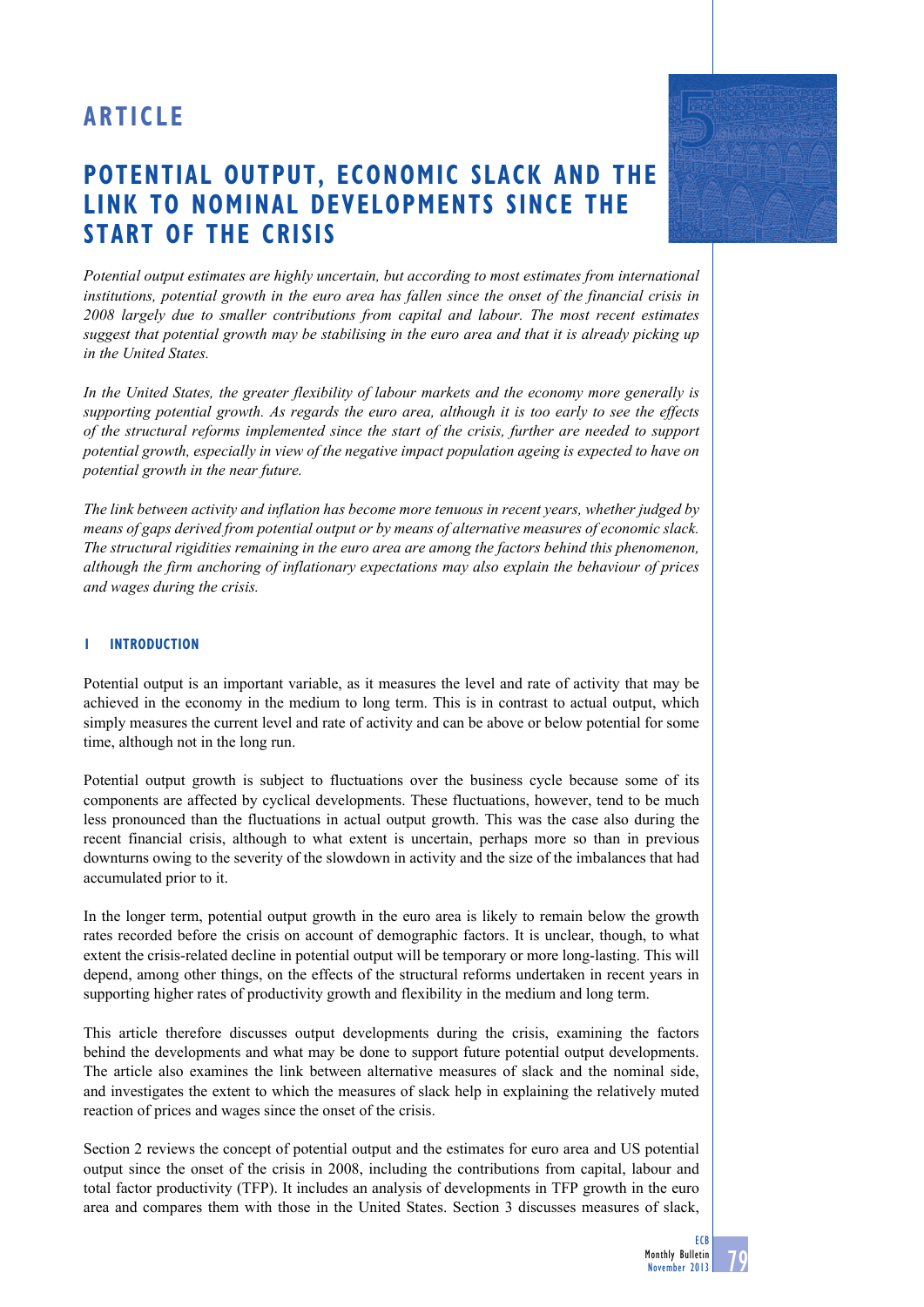# **ARTICLE**

# **Potential output, economic slack and THE LINK TO nominal developments since the start of the crisis**

*Potential output estimates are highly uncertain, but according to most estimates from international institutions, potential growth in the euro area has fallen since the onset of the financial crisis in 2008 largely due to smaller contributions from capital and labour. The most recent estimates suggest that potential growth may be stabilising in the euro area and that it is already picking up in the United States.*

*In the United States, the greater flexibility of labour markets and the economy more generally is supporting potential growth. As regards the euro area, although it is too early to see the effects of the structural reforms implemented since the start of the crisis, further are needed to support potential growth, especially in view of the negative impact population ageing is expected to have on potential growth in the near future.* 

*The link between activity and inflation has become more tenuous in recent years, whether judged by means of gaps derived from potential output or by means of alternative measures of economic slack. The structural rigidities remaining in the euro area are among the factors behind this phenomenon, although the firm anchoring of inflationary expectations may also explain the behaviour of prices and wages during the crisis.* 

## **1 INTRODUCTION**

Potential output is an important variable, as it measures the level and rate of activity that may be achieved in the economy in the medium to long term. This is in contrast to actual output, which simply measures the current level and rate of activity and can be above or below potential for some time, although not in the long run.

Potential output growth is subject to fluctuations over the business cycle because some of its components are affected by cyclical developments. These fluctuations, however, tend to be much less pronounced than the fluctuations in actual output growth. This was the case also during the recent financial crisis, although to what extent is uncertain, perhaps more so than in previous downturns owing to the severity of the slowdown in activity and the size of the imbalances that had accumulated prior to it.

In the longer term, potential output growth in the euro area is likely to remain below the growth rates recorded before the crisis on account of demographic factors. It is unclear, though, to what extent the crisis-related decline in potential output will be temporary or more long-lasting. This will depend, among other things, on the effects of the structural reforms undertaken in recent years in supporting higher rates of productivity growth and flexibility in the medium and long term.

This article therefore discusses output developments during the crisis, examining the factors behind the developments and what may be done to support future potential output developments. The article also examines the link between alternative measures of slack and the nominal side, and investigates the extent to which the measures of slack help in explaining the relatively muted reaction of prices and wages since the onset of the crisis.

Section 2 reviews the concept of potential output and the estimates for euro area and US potential output since the onset of the crisis in 2008, including the contributions from capital, labour and total factor productivity (TFP). It includes an analysis of developments in TFP growth in the euro area and compares them with those in the United States. Section 3 discusses measures of slack,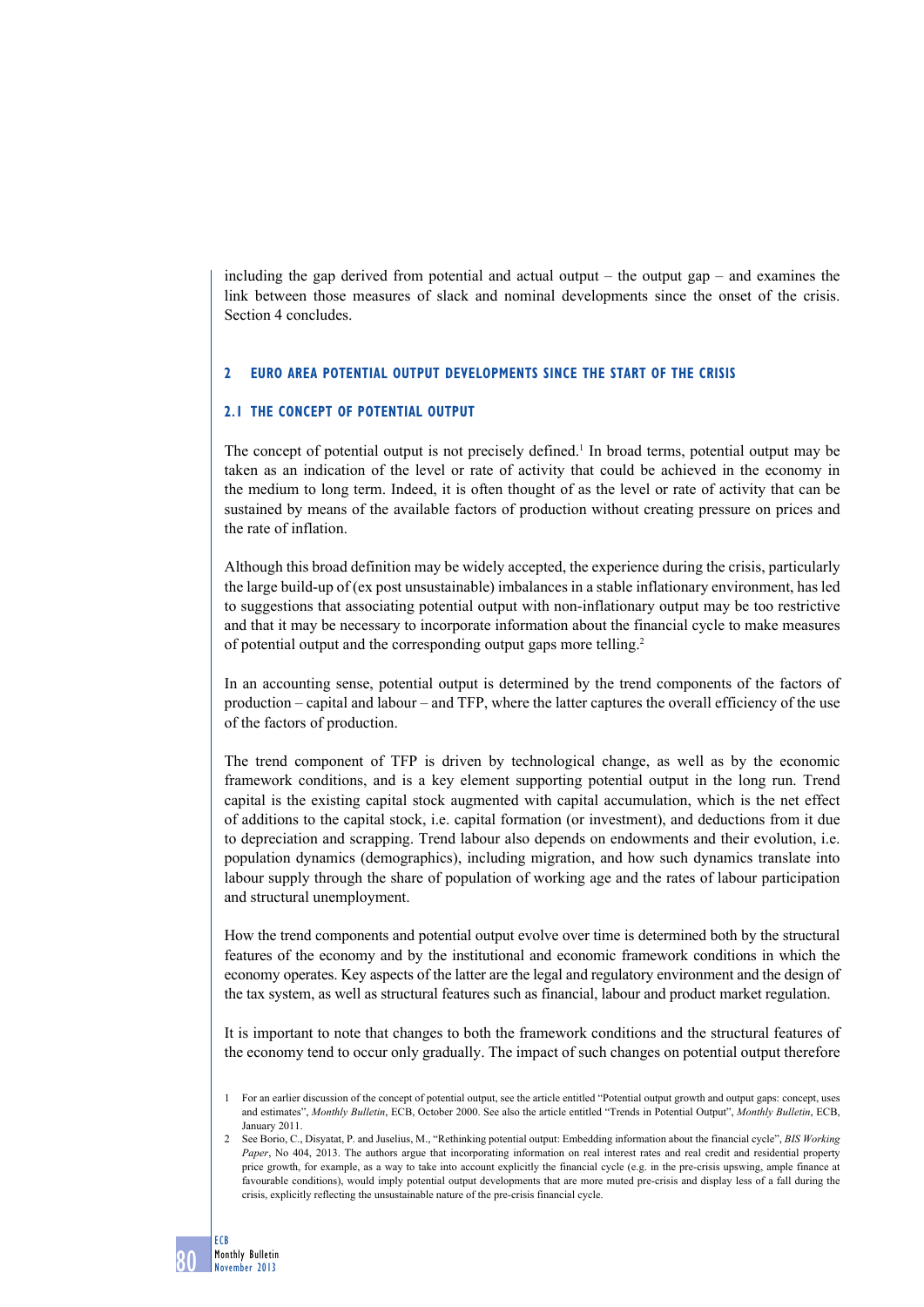including the gap derived from potential and actual output – the output gap – and examines the link between those measures of slack and nominal developments since the onset of the crisis. Section 4 concludes.

### **2 Euro area potential output developments since the start of the crisis**

# **2.1 The concept of potential output**

The concept of potential output is not precisely defined.<sup>1</sup> In broad terms, potential output may be taken as an indication of the level or rate of activity that could be achieved in the economy in the medium to long term. Indeed, it is often thought of as the level or rate of activity that can be sustained by means of the available factors of production without creating pressure on prices and the rate of inflation.

Although this broad definition may be widely accepted, the experience during the crisis, particularly the large build-up of (ex post unsustainable) imbalances in a stable inflationary environment, has led to suggestions that associating potential output with non-inflationary output may be too restrictive and that it may be necessary to incorporate information about the financial cycle to make measures of potential output and the corresponding output gaps more telling.2

In an accounting sense, potential output is determined by the trend components of the factors of production – capital and labour – and TFP, where the latter captures the overall efficiency of the use of the factors of production.

The trend component of TFP is driven by technological change, as well as by the economic framework conditions, and is a key element supporting potential output in the long run. Trend capital is the existing capital stock augmented with capital accumulation, which is the net effect of additions to the capital stock, i.e. capital formation (or investment), and deductions from it due to depreciation and scrapping. Trend labour also depends on endowments and their evolution, i.e. population dynamics (demographics), including migration, and how such dynamics translate into labour supply through the share of population of working age and the rates of labour participation and structural unemployment.

How the trend components and potential output evolve over time is determined both by the structural features of the economy and by the institutional and economic framework conditions in which the economy operates. Key aspects of the latter are the legal and regulatory environment and the design of the tax system, as well as structural features such as financial, labour and product market regulation.

It is important to note that changes to both the framework conditions and the structural features of the economy tend to occur only gradually. The impact of such changes on potential output therefore

<sup>1</sup> For an earlier discussion of the concept of potential output, see the article entitled "Potential output growth and output gaps: concept, uses and estimates", *Monthly Bulletin*, ECB, October 2000. See also the article entitled "Trends in Potential Output", *Monthly Bulletin*, ECB, January 2011.

<sup>2</sup> See Borio, C., Disyatat, P. and Juselius, M., "Rethinking potential output: Embedding information about the financial cycle", *BIS Working Paper*, No 404, 2013. The authors argue that incorporating information on real interest rates and real credit and residential property price growth, for example, as a way to take into account explicitly the financial cycle (e.g. in the pre-crisis upswing, ample finance at favourable conditions), would imply potential output developments that are more muted pre-crisis and display less of a fall during the crisis, explicitly reflecting the unsustainable nature of the pre-crisis financial cycle.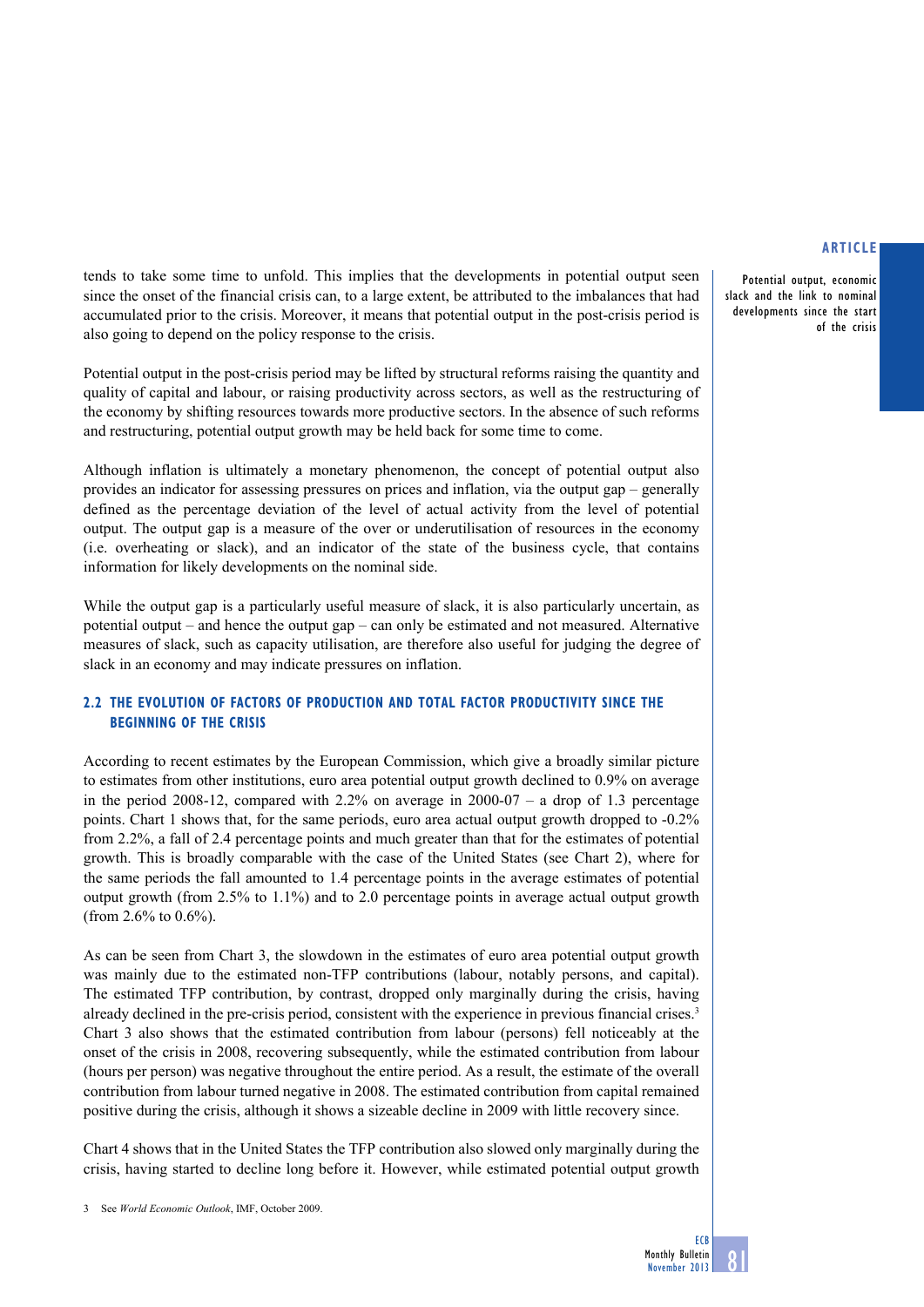Potential output, economic slack and the link to nominal developments since the start of the crisis

tends to take some time to unfold. This implies that the developments in potential output seen since the onset of the financial crisis can, to a large extent, be attributed to the imbalances that had accumulated prior to the crisis. Moreover, it means that potential output in the post-crisis period is also going to depend on the policy response to the crisis.

Potential output in the post-crisis period may be lifted by structural reforms raising the quantity and quality of capital and labour, or raising productivity across sectors, as well as the restructuring of the economy by shifting resources towards more productive sectors. In the absence of such reforms and restructuring, potential output growth may be held back for some time to come.

Although inflation is ultimately a monetary phenomenon, the concept of potential output also provides an indicator for assessing pressures on prices and inflation, via the output gap – generally defined as the percentage deviation of the level of actual activity from the level of potential output. The output gap is a measure of the over or underutilisation of resources in the economy (i.e. overheating or slack), and an indicator of the state of the business cycle, that contains information for likely developments on the nominal side.

While the output gap is a particularly useful measure of slack, it is also particularly uncertain, as potential output – and hence the output gap – can only be estimated and not measured. Alternative measures of slack, such as capacity utilisation, are therefore also useful for judging the degree of slack in an economy and may indicate pressures on inflation.

# **2.2 The evolution of factors of production and TOTAL FACTOR PRODUCTIVITY since the beginning of the crisis**

According to recent estimates by the European Commission, which give a broadly similar picture to estimates from other institutions, euro area potential output growth declined to 0.9% on average in the period 2008-12, compared with  $2.2\%$  on average in 2000-07 – a drop of 1.3 percentage points. Chart 1 shows that, for the same periods, euro area actual output growth dropped to -0.2% from 2.2%, a fall of 2.4 percentage points and much greater than that for the estimates of potential growth. This is broadly comparable with the case of the United States (see Chart 2), where for the same periods the fall amounted to 1.4 percentage points in the average estimates of potential output growth (from 2.5% to 1.1%) and to 2.0 percentage points in average actual output growth (from 2.6% to 0.6%).

As can be seen from Chart 3, the slowdown in the estimates of euro area potential output growth was mainly due to the estimated non-TFP contributions (labour, notably persons, and capital). The estimated TFP contribution, by contrast, dropped only marginally during the crisis, having already declined in the pre-crisis period, consistent with the experience in previous financial crises.<sup>3</sup> Chart 3 also shows that the estimated contribution from labour (persons) fell noticeably at the onset of the crisis in 2008, recovering subsequently, while the estimated contribution from labour (hours per person) was negative throughout the entire period. As a result, the estimate of the overall contribution from labour turned negative in 2008. The estimated contribution from capital remained positive during the crisis, although it shows a sizeable decline in 2009 with little recovery since.

Chart 4 shows that in the United States the TFP contribution also slowed only marginally during the crisis, having started to decline long before it. However, while estimated potential output growth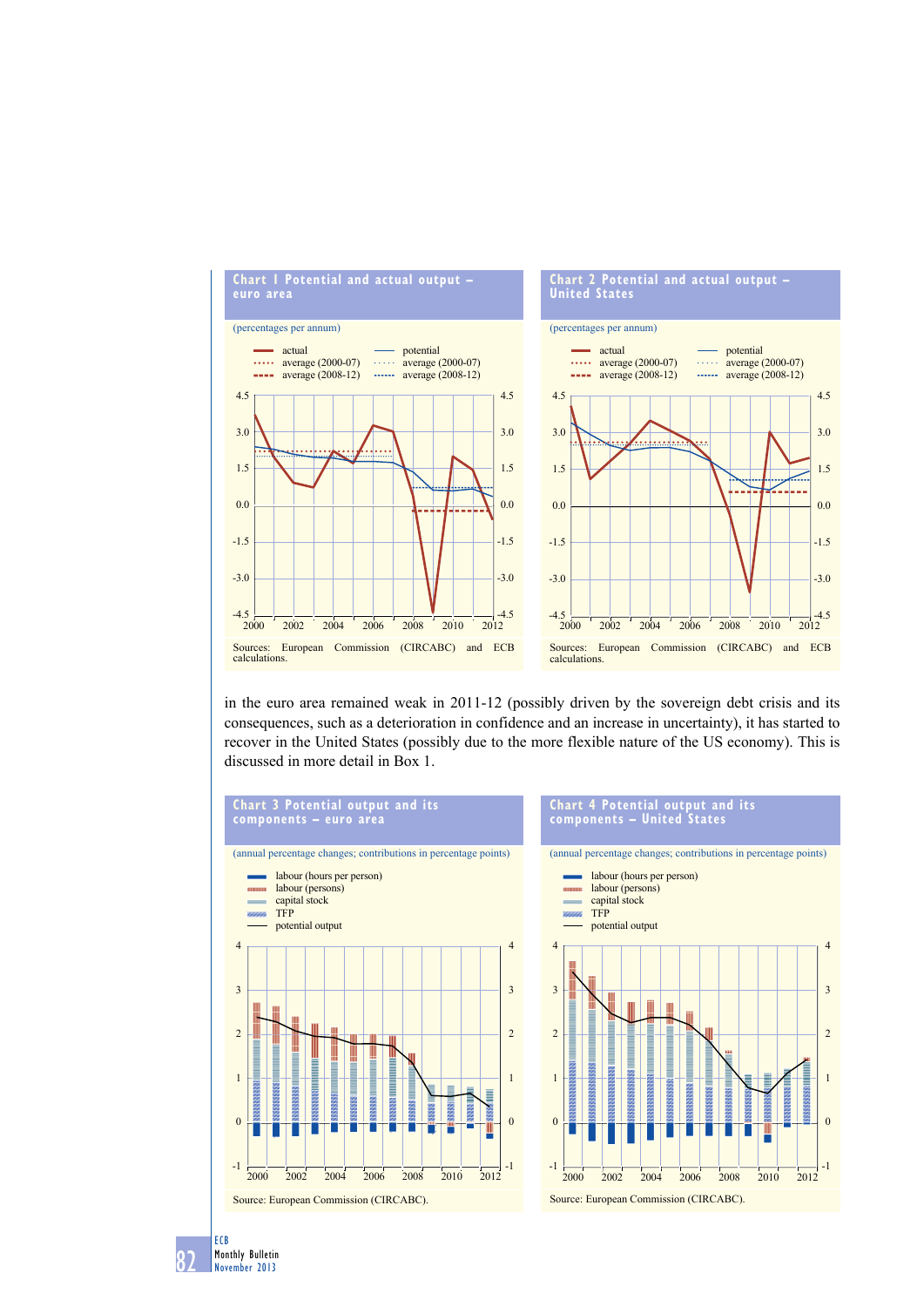

in the euro area remained weak in 2011-12 (possibly driven by the sovereign debt crisis and its consequences, such as a deterioration in confidence and an increase in uncertainty), it has started to recover in the United States (possibly due to the more flexible nature of the US economy). This is discussed in more detail in Box 1.



#### **Chart 4 Potential output and its components – united states**



82 ECB Monthly Bulletin November 2013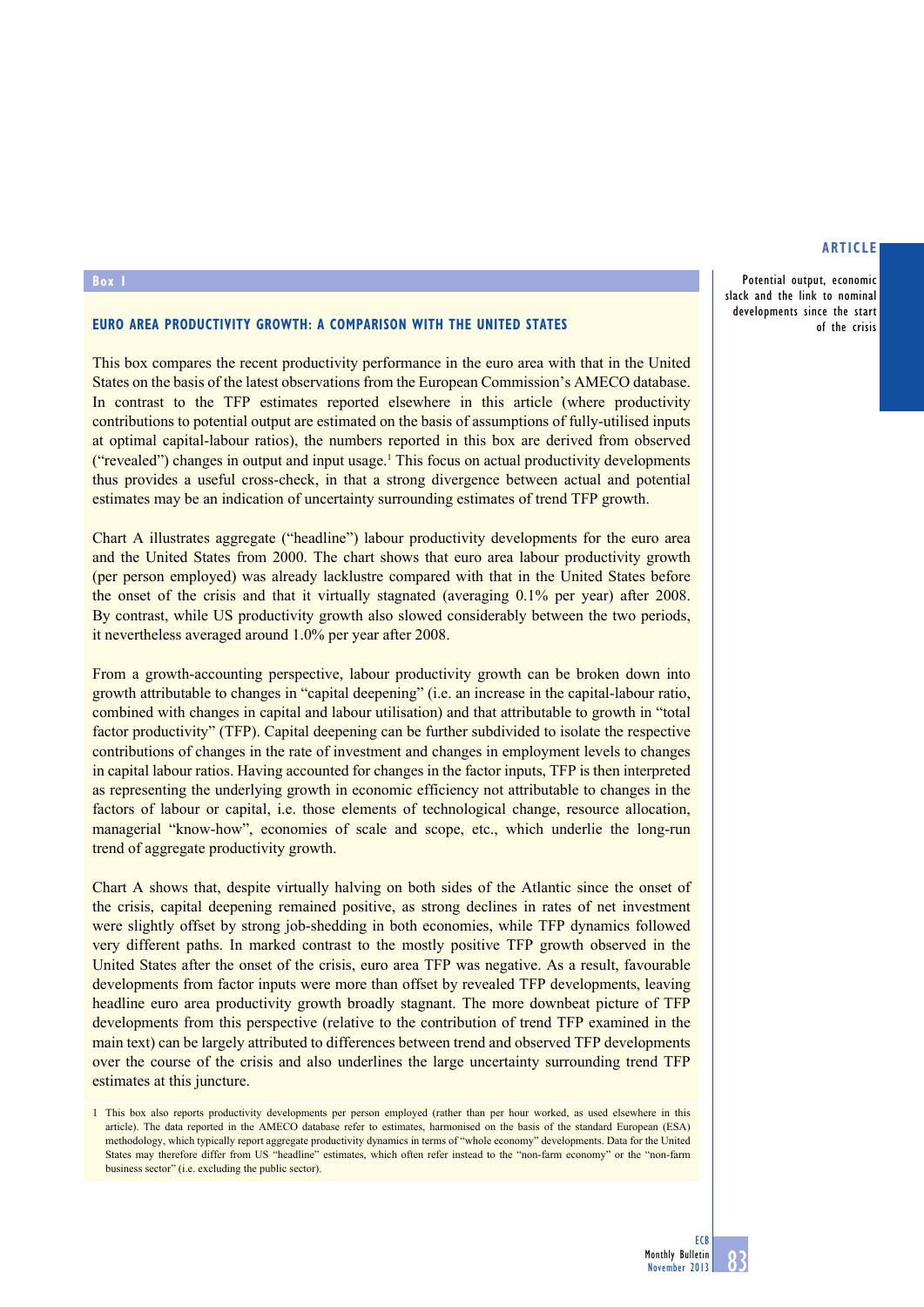Potential output, economic slack and the link to nominal developments since the start of the crisis

#### **Box 1**

# **Euro area productivity growth: a comparison with the United States**

This box compares the recent productivity performance in the euro area with that in the United States on the basis of the latest observations from the European Commission's AMECO database. In contrast to the TFP estimates reported elsewhere in this article (where productivity contributions to potential output are estimated on the basis of assumptions of fully-utilised inputs at optimal capital-labour ratios), the numbers reported in this box are derived from observed ("revealed") changes in output and input usage.<sup>1</sup> This focus on actual productivity developments thus provides a useful cross-check, in that a strong divergence between actual and potential estimates may be an indication of uncertainty surrounding estimates of trend TFP growth.

Chart A illustrates aggregate ("headline") labour productivity developments for the euro area and the United States from 2000. The chart shows that euro area labour productivity growth (per person employed) was already lacklustre compared with that in the United States before the onset of the crisis and that it virtually stagnated (averaging 0.1% per year) after 2008. By contrast, while US productivity growth also slowed considerably between the two periods, it nevertheless averaged around 1.0% per year after 2008.

From a growth-accounting perspective, labour productivity growth can be broken down into growth attributable to changes in "capital deepening" (i.e. an increase in the capital-labour ratio, combined with changes in capital and labour utilisation) and that attributable to growth in "total factor productivity" (TFP). Capital deepening can be further subdivided to isolate the respective contributions of changes in the rate of investment and changes in employment levels to changes in capital labour ratios. Having accounted for changes in the factor inputs, TFP is then interpreted as representing the underlying growth in economic efficiency not attributable to changes in the factors of labour or capital, i.e. those elements of technological change, resource allocation, managerial "know-how", economies of scale and scope, etc., which underlie the long-run trend of aggregate productivity growth.

Chart A shows that, despite virtually halving on both sides of the Atlantic since the onset of the crisis, capital deepening remained positive, as strong declines in rates of net investment were slightly offset by strong job-shedding in both economies, while TFP dynamics followed very different paths. In marked contrast to the mostly positive TFP growth observed in the United States after the onset of the crisis, euro area TFP was negative. As a result, favourable developments from factor inputs were more than offset by revealed TFP developments, leaving headline euro area productivity growth broadly stagnant. The more downbeat picture of TFP developments from this perspective (relative to the contribution of trend TFP examined in the main text) can be largely attributed to differences between trend and observed TFP developments over the course of the crisis and also underlines the large uncertainty surrounding trend TFP estimates at this juncture.

1 This box also reports productivity developments per person employed (rather than per hour worked, as used elsewhere in this article). The data reported in the AMECO database refer to estimates, harmonised on the basis of the standard European (ESA) methodology, which typically report aggregate productivity dynamics in terms of "whole economy" developments. Data for the United States may therefore differ from US "headline" estimates, which often refer instead to the "non-farm economy" or the "non-farm business sector" (i.e. excluding the public sector).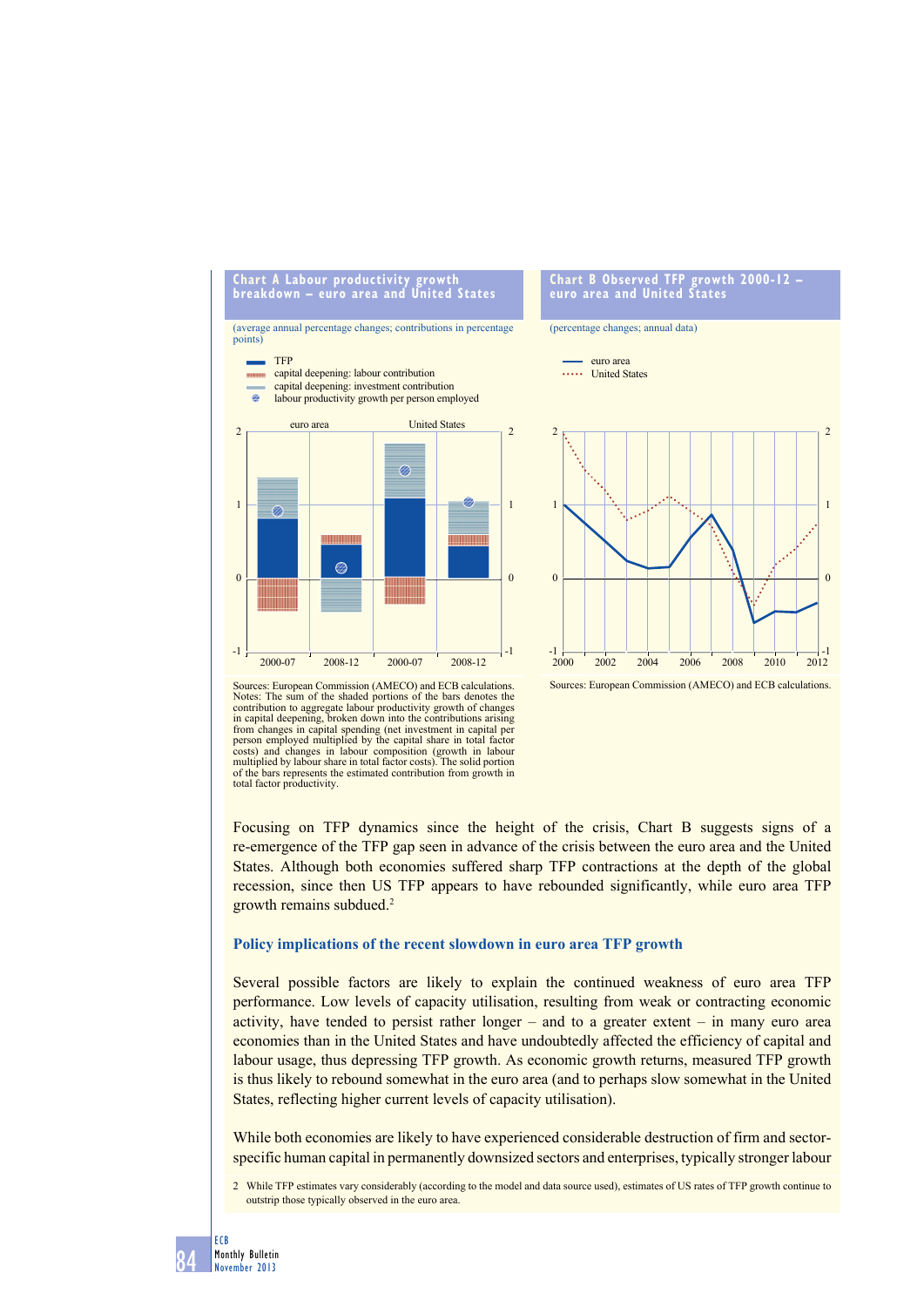

Sources: European Commission (AMECO) and ECB calculations.<br>Notes: The sum of the shaded portions of the bars denotes the The sum of the shaded portions of the bars denotes the contribution to aggregate labour productivity growth of changes in capital deepening, broken down into the contributions arising from changes in capital spending (net investment in capital per person employed multiplied by the capital share in total factor costs) and changes in labour composition (growth in labour multiplied by labour share in total factor costs). The solid portion of the bars represents the estimated contribution from growth in total factor productivity.

Focusing on TFP dynamics since the height of the crisis. Chart B suggests signs of a re-emergence of the TFP gap seen in advance of the crisis between the euro area and the United States. Although both economies suffered sharp TFP contractions at the depth of the global recession, since then US TFP appears to have rebounded significantly, while euro area TFP growth remains subdued.2

#### **Policy implications of the recent slowdown in euro area TFP growth**

Several possible factors are likely to explain the continued weakness of euro area TFP performance. Low levels of capacity utilisation, resulting from weak or contracting economic activity, have tended to persist rather  $\text{longer} - \text{and}$  to a greater extent  $- \text{ in } \text{many}$  euro area economies than in the United States and have undoubtedly affected the efficiency of capital and labour usage, thus depressing TFP growth. As economic growth returns, measured TFP growth is thus likely to rebound somewhat in the euro area (and to perhaps slow somewhat in the United States, reflecting higher current levels of capacity utilisation).

While both economies are likely to have experienced considerable destruction of firm and sectorspecific human capital in permanently downsized sectors and enterprises, typically stronger labour

2 While TFP estimates vary considerably (according to the model and data source used), estimates of US rates of TFP growth continue to outstrip those typically observed in the euro area.

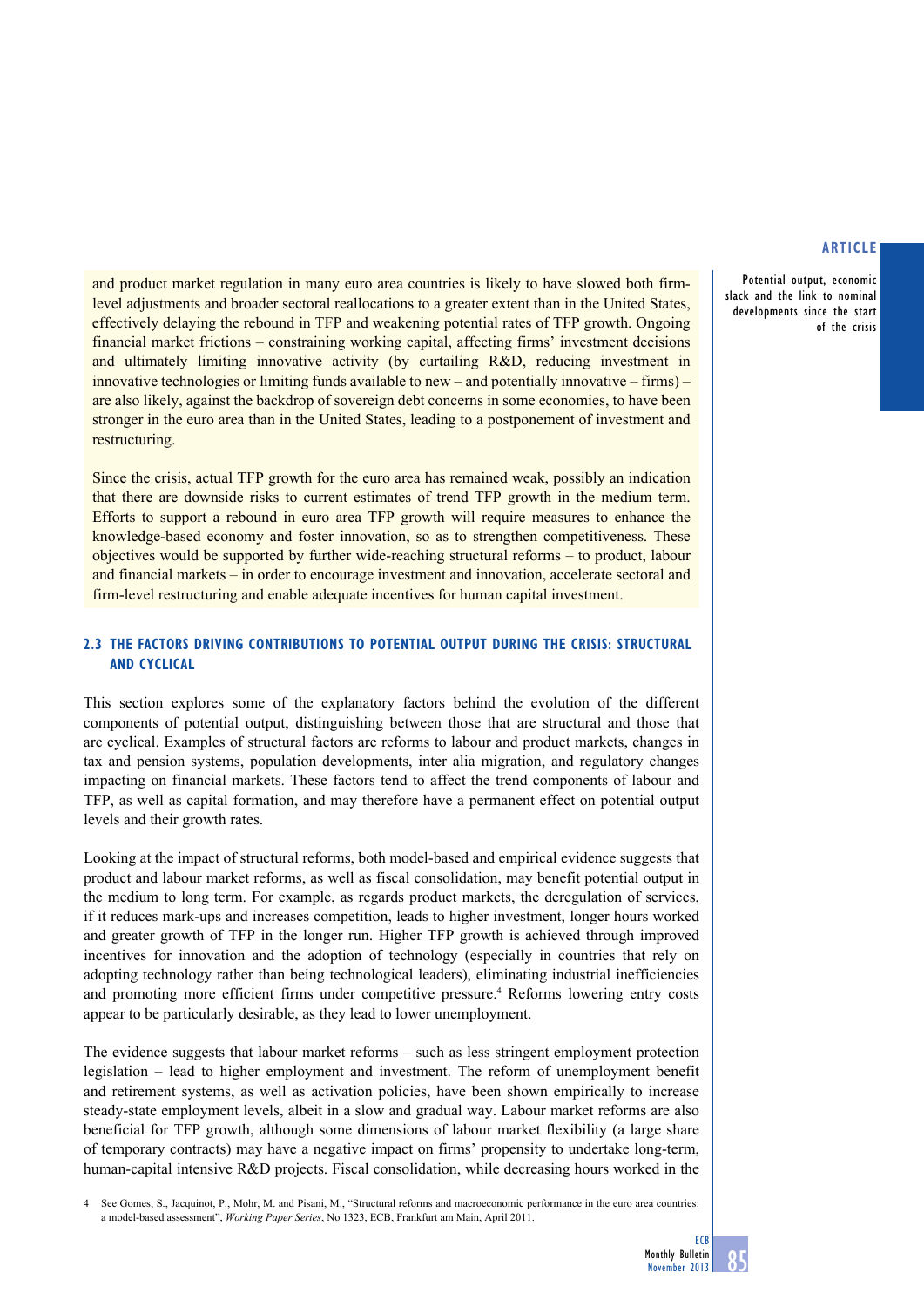Potential output, economic slack and the link to nominal developments since the start of the crisis

and product market regulation in many euro area countries is likely to have slowed both firmlevel adjustments and broader sectoral reallocations to a greater extent than in the United States, effectively delaying the rebound in TFP and weakening potential rates of TFP growth. Ongoing financial market frictions – constraining working capital, affecting firms' investment decisions and ultimately limiting innovative activity (by curtailing R&D, reducing investment in innovative technologies or limiting funds available to new – and potentially innovative – firms) – are also likely, against the backdrop of sovereign debt concerns in some economies, to have been stronger in the euro area than in the United States, leading to a postponement of investment and restructuring.

Since the crisis, actual TFP growth for the euro area has remained weak, possibly an indication that there are downside risks to current estimates of trend TFP growth in the medium term. Efforts to support a rebound in euro area TFP growth will require measures to enhance the knowledge-based economy and foster innovation, so as to strengthen competitiveness. These objectives would be supported by further wide-reaching structural reforms – to product, labour and financial markets – in order to encourage investment and innovation, accelerate sectoral and firm-level restructuring and enable adequate incentives for human capital investment.

# **2.3 The factors driving contributions to potential output during the crisis: STRUCTURAL AND cyclical**

This section explores some of the explanatory factors behind the evolution of the different components of potential output, distinguishing between those that are structural and those that are cyclical. Examples of structural factors are reforms to labour and product markets, changes in tax and pension systems, population developments, inter alia migration, and regulatory changes impacting on financial markets. These factors tend to affect the trend components of labour and TFP, as well as capital formation, and may therefore have a permanent effect on potential output levels and their growth rates.

Looking at the impact of structural reforms, both model-based and empirical evidence suggests that product and labour market reforms, as well as fiscal consolidation, may benefit potential output in the medium to long term. For example, as regards product markets, the deregulation of services, if it reduces mark-ups and increases competition, leads to higher investment, longer hours worked and greater growth of TFP in the longer run. Higher TFP growth is achieved through improved incentives for innovation and the adoption of technology (especially in countries that rely on adopting technology rather than being technological leaders), eliminating industrial inefficiencies and promoting more efficient firms under competitive pressure.<sup>4</sup> Reforms lowering entry costs appear to be particularly desirable, as they lead to lower unemployment.

The evidence suggests that labour market reforms – such as less stringent employment protection legislation – lead to higher employment and investment. The reform of unemployment benefit and retirement systems, as well as activation policies, have been shown empirically to increase steady-state employment levels, albeit in a slow and gradual way. Labour market reforms are also beneficial for TFP growth, although some dimensions of labour market flexibility (a large share of temporary contracts) may have a negative impact on firms' propensity to undertake long-term, human-capital intensive R&D projects. Fiscal consolidation, while decreasing hours worked in the

See Gomes, S., Jacquinot, P., Mohr, M. and Pisani, M., "Structural reforms and macroeconomic performance in the euro area countries: a model-based assessment", *Working Paper Series*, No 1323, ECB, Frankfurt am Main, April 2011.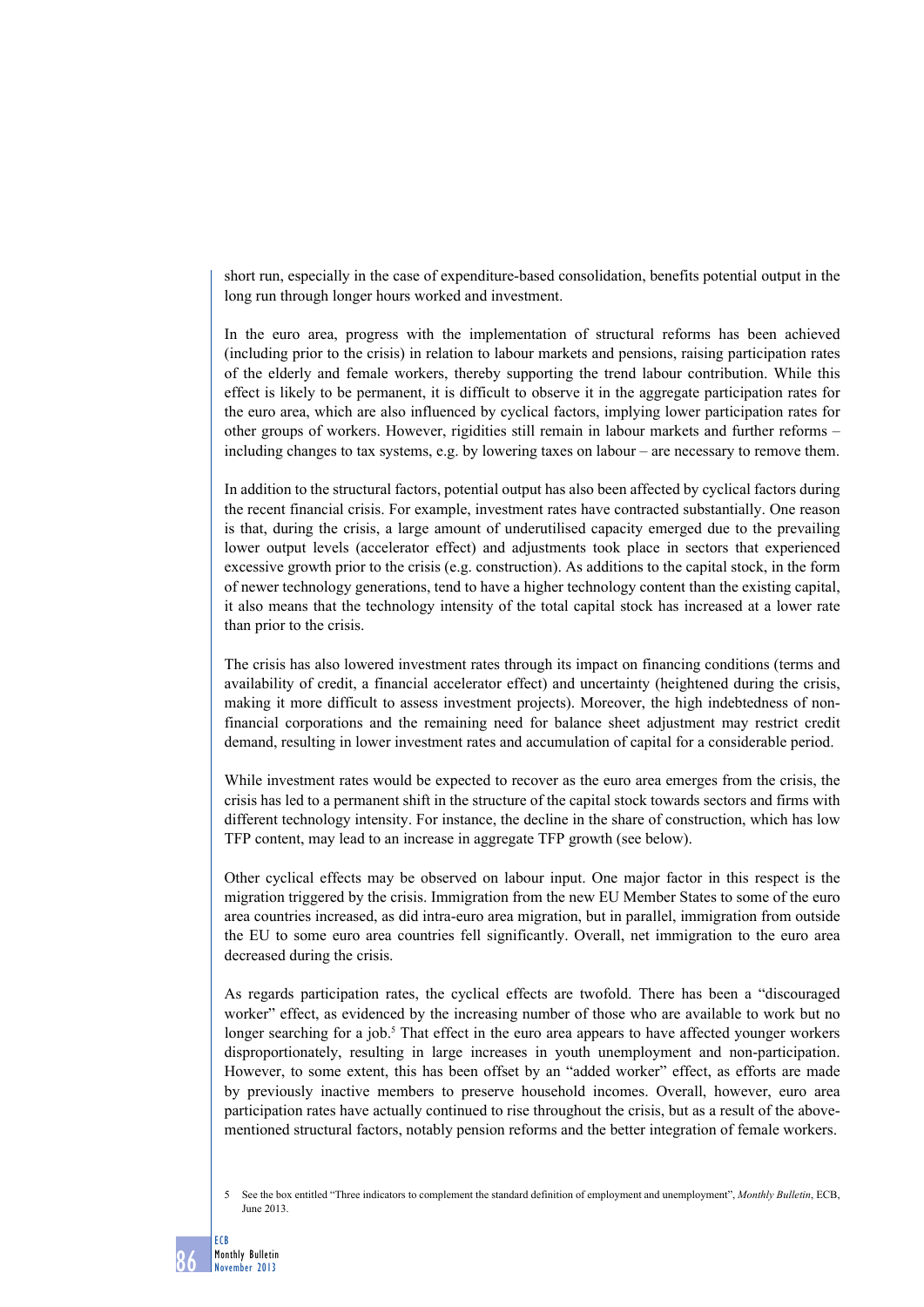short run, especially in the case of expenditure-based consolidation, benefits potential output in the long run through longer hours worked and investment.

In the euro area, progress with the implementation of structural reforms has been achieved (including prior to the crisis) in relation to labour markets and pensions, raising participation rates of the elderly and female workers, thereby supporting the trend labour contribution. While this effect is likely to be permanent, it is difficult to observe it in the aggregate participation rates for the euro area, which are also influenced by cyclical factors, implying lower participation rates for other groups of workers. However, rigidities still remain in labour markets and further reforms – including changes to tax systems, e.g. by lowering taxes on labour – are necessary to remove them.

In addition to the structural factors, potential output has also been affected by cyclical factors during the recent financial crisis. For example, investment rates have contracted substantially. One reason is that, during the crisis, a large amount of underutilised capacity emerged due to the prevailing lower output levels (accelerator effect) and adjustments took place in sectors that experienced excessive growth prior to the crisis (e.g. construction). As additions to the capital stock, in the form of newer technology generations, tend to have a higher technology content than the existing capital, it also means that the technology intensity of the total capital stock has increased at a lower rate than prior to the crisis.

The crisis has also lowered investment rates through its impact on financing conditions (terms and availability of credit, a financial accelerator effect) and uncertainty (heightened during the crisis, making it more difficult to assess investment projects). Moreover, the high indebtedness of nonfinancial corporations and the remaining need for balance sheet adjustment may restrict credit demand, resulting in lower investment rates and accumulation of capital for a considerable period.

While investment rates would be expected to recover as the euro area emerges from the crisis, the crisis has led to a permanent shift in the structure of the capital stock towards sectors and firms with different technology intensity. For instance, the decline in the share of construction, which has low TFP content, may lead to an increase in aggregate TFP growth (see below).

Other cyclical effects may be observed on labour input. One major factor in this respect is the migration triggered by the crisis. Immigration from the new EU Member States to some of the euro area countries increased, as did intra-euro area migration, but in parallel, immigration from outside the EU to some euro area countries fell significantly. Overall, net immigration to the euro area decreased during the crisis.

As regards participation rates, the cyclical effects are twofold. There has been a "discouraged worker" effect, as evidenced by the increasing number of those who are available to work but no longer searching for a job.<sup>5</sup> That effect in the euro area appears to have affected younger workers disproportionately, resulting in large increases in youth unemployment and non-participation. However, to some extent, this has been offset by an "added worker" effect, as efforts are made by previously inactive members to preserve household incomes. Overall, however, euro area participation rates have actually continued to rise throughout the crisis, but as a result of the abovementioned structural factors, notably pension reforms and the better integration of female workers.

5 See the box entitled "Three indicators to complement the standard definition of employment and unemployment", *Monthly Bulletin*, ECB, June 2013.

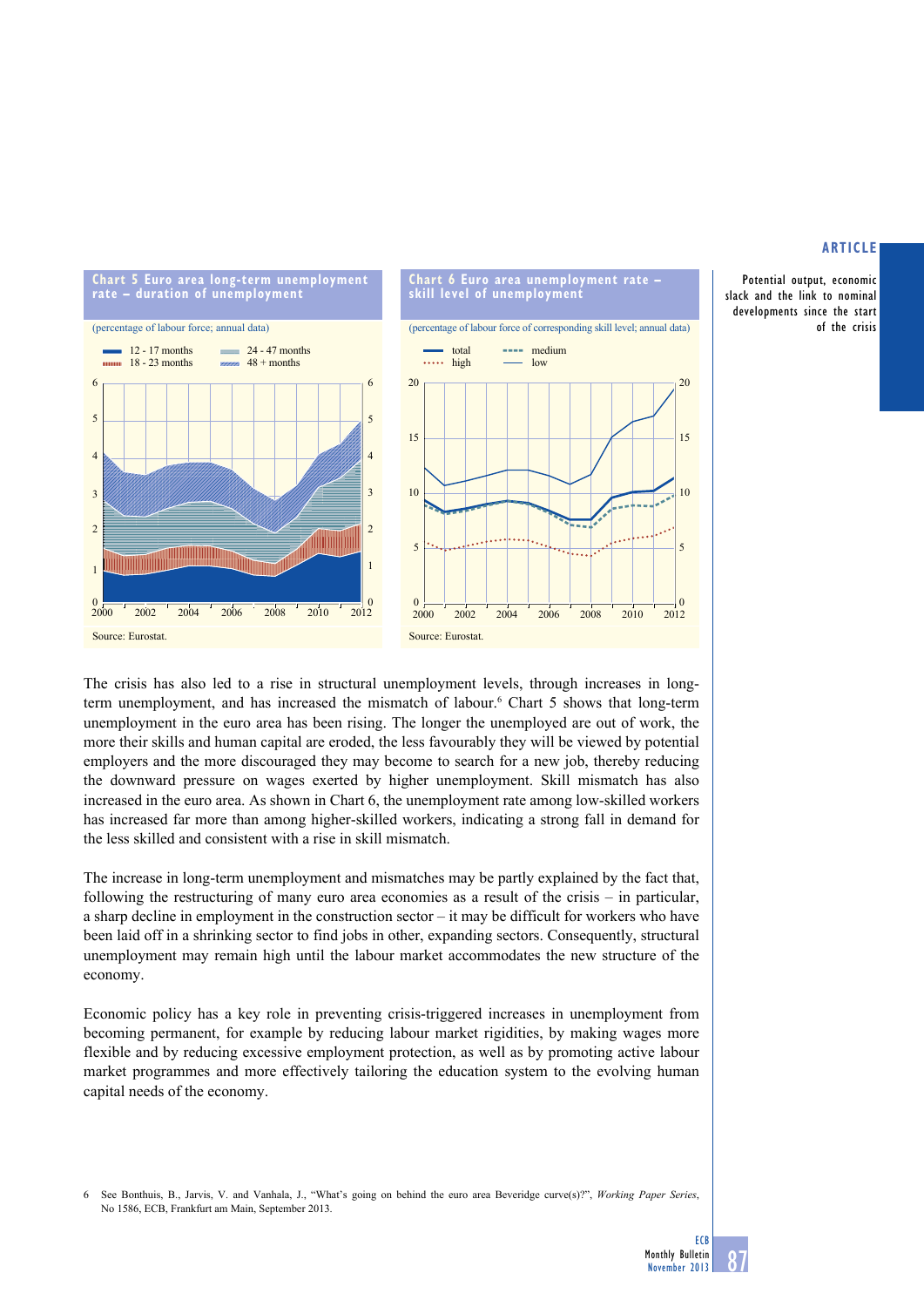## **artiCle**

Potential output, economic slack and the link to nominal developments since the start of the crisis



The crisis has also led to a rise in structural unemployment levels, through increases in longterm unemployment, and has increased the mismatch of labour.<sup>6</sup> Chart 5 shows that long-term unemployment in the euro area has been rising. The longer the unemployed are out of work, the more their skills and human capital are eroded, the less favourably they will be viewed by potential employers and the more discouraged they may become to search for a new job, thereby reducing the downward pressure on wages exerted by higher unemployment. Skill mismatch has also increased in the euro area. As shown in Chart 6, the unemployment rate among low-skilled workers has increased far more than among higher-skilled workers, indicating a strong fall in demand for the less skilled and consistent with a rise in skill mismatch.

The increase in long-term unemployment and mismatches may be partly explained by the fact that, following the restructuring of many euro area economies as a result of the crisis  $-$  in particular, a sharp decline in employment in the construction sector – it may be difficult for workers who have been laid off in a shrinking sector to find jobs in other, expanding sectors. Consequently, structural unemployment may remain high until the labour market accommodates the new structure of the economy.

Economic policy has a key role in preventing crisis-triggered increases in unemployment from becoming permanent, for example by reducing labour market rigidities, by making wages more flexible and by reducing excessive employment protection, as well as by promoting active labour market programmes and more effectively tailoring the education system to the evolving human capital needs of the economy.

6 See Bonthuis, B., Jarvis, V. and Vanhala, J., "What's going on behind the euro area Beveridge curve(s)?", Working Paper Series, No 1586, ECB, Frankfurt am Main, September 2013.

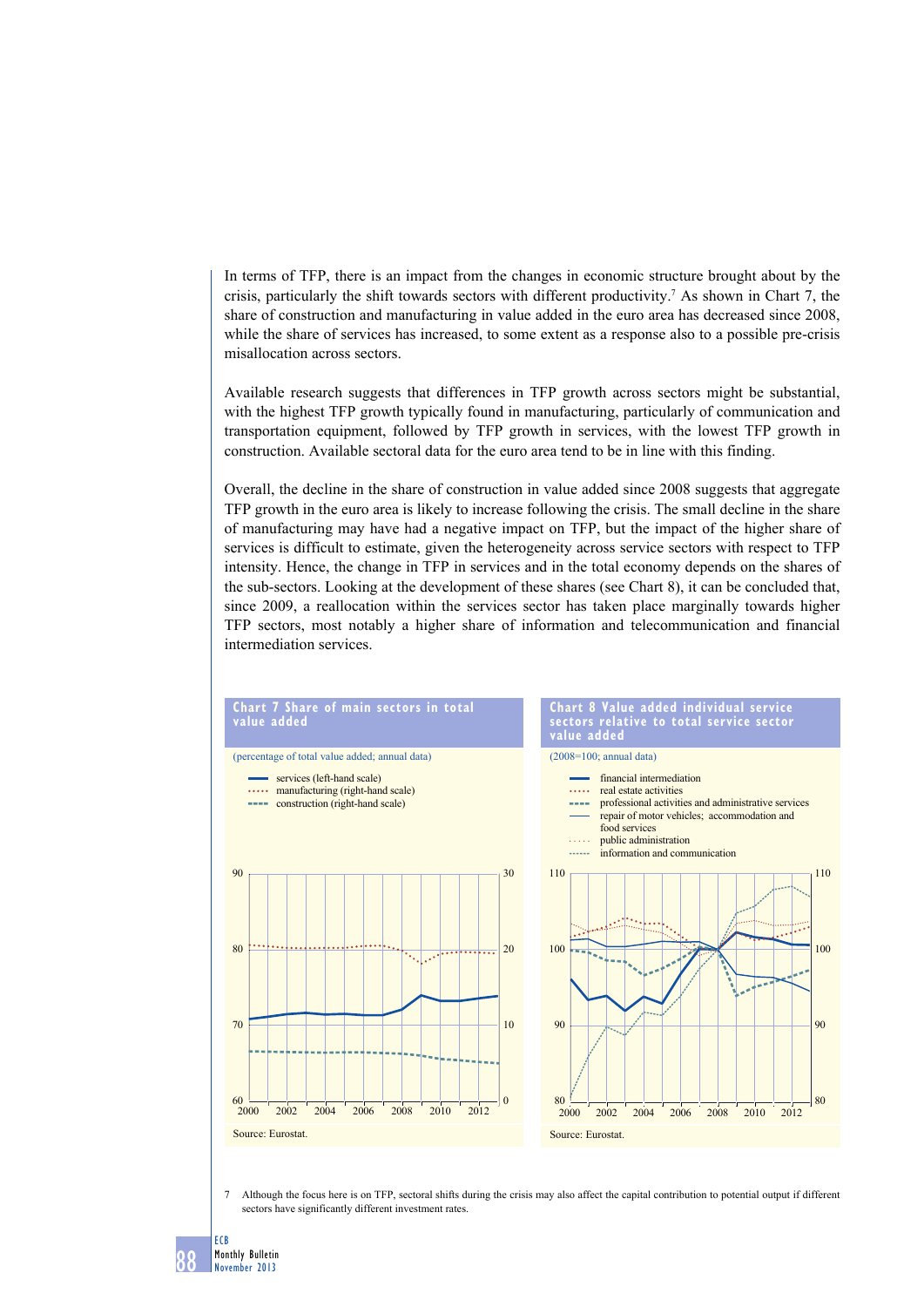In terms of TFP, there is an impact from the changes in economic structure brought about by the crisis, particularly the shift towards sectors with different productivity.<sup>7</sup> As shown in Chart 7, the share of construction and manufacturing in value added in the euro area has decreased since 2008, while the share of services has increased, to some extent as a response also to a possible pre-crisis misallocation across sectors.

Available research suggests that differences in TFP growth across sectors might be substantial, with the highest TFP growth typically found in manufacturing, particularly of communication and transportation equipment, followed by TFP growth in services, with the lowest TFP growth in construction. Available sectoral data for the euro area tend to be in line with this finding.

Overall, the decline in the share of construction in value added since 2008 suggests that aggregate TFP growth in the euro area is likely to increase following the crisis. The small decline in the share of manufacturing may have had a negative impact on TFP, but the impact of the higher share of services is difficult to estimate, given the heterogeneity across service sectors with respect to TFP intensity. Hence, the change in TFP in services and in the total economy depends on the shares of the sub-sectors. Looking at the development of these shares (see Chart 8), it can be concluded that, since 2009, a reallocation within the services sector has taken place marginally towards higher TFP sectors, most notably a higher share of information and telecommunication and financial intermediation services.



7 Although the focus here is on TFP, sectoral shifts during the crisis may also affect the capital contribution to potential output if different sectors have significantly different investment rates

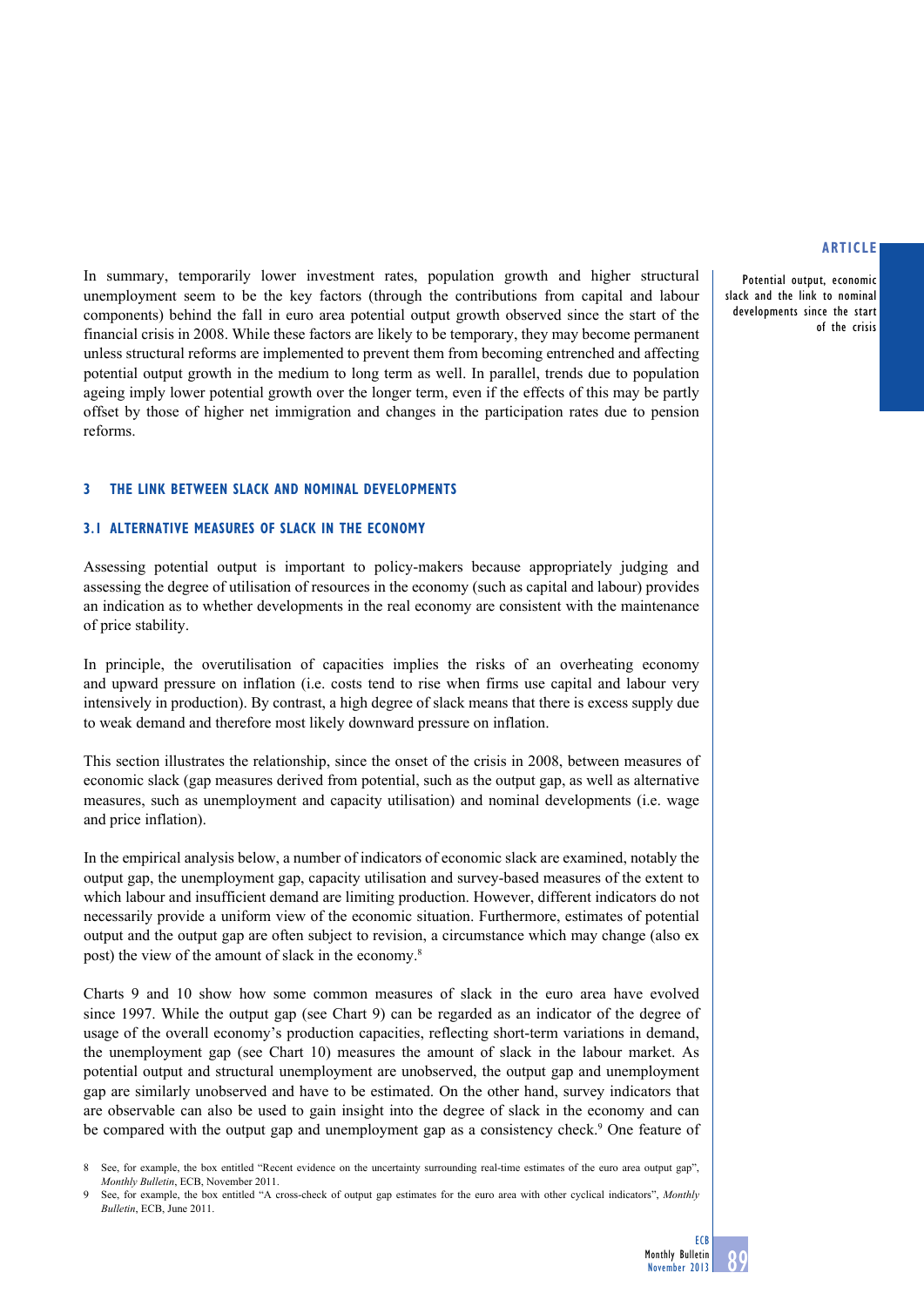Potential output, economic slack and the link to nominal developments since the start of the crisis

In summary, temporarily lower investment rates, population growth and higher structural unemployment seem to be the key factors (through the contributions from capital and labour components) behind the fall in euro area potential output growth observed since the start of the financial crisis in 2008. While these factors are likely to be temporary, they may become permanent unless structural reforms are implemented to prevent them from becoming entrenched and affecting potential output growth in the medium to long term as well. In parallel, trends due to population ageing imply lower potential growth over the longer term, even if the effects of this may be partly offset by those of higher net immigration and changes in the participation rates due to pension reforms.

## **3 the link between SLACK and nominal developments**

## **3.1 ALTERNATIVE MEASURES OF SLACK in the economy**

Assessing potential output is important to policy-makers because appropriately judging and assessing the degree of utilisation of resources in the economy (such as capital and labour) provides an indication as to whether developments in the real economy are consistent with the maintenance of price stability.

In principle, the overutilisation of capacities implies the risks of an overheating economy and upward pressure on inflation (i.e. costs tend to rise when firms use capital and labour very intensively in production). By contrast, a high degree of slack means that there is excess supply due to weak demand and therefore most likely downward pressure on inflation.

This section illustrates the relationship, since the onset of the crisis in 2008, between measures of economic slack (gap measures derived from potential, such as the output gap, as well as alternative measures, such as unemployment and capacity utilisation) and nominal developments (i.e. wage and price inflation).

In the empirical analysis below, a number of indicators of economic slack are examined, notably the output gap, the unemployment gap, capacity utilisation and survey-based measures of the extent to which labour and insufficient demand are limiting production. However, different indicators do not necessarily provide a uniform view of the economic situation. Furthermore, estimates of potential output and the output gap are often subject to revision, a circumstance which may change (also ex post) the view of the amount of slack in the economy.8

Charts 9 and 10 show how some common measures of slack in the euro area have evolved since 1997. While the output gap (see Chart 9) can be regarded as an indicator of the degree of usage of the overall economy's production capacities, reflecting short-term variations in demand, the unemployment gap (see Chart 10) measures the amount of slack in the labour market. As potential output and structural unemployment are unobserved, the output gap and unemployment gap are similarly unobserved and have to be estimated. On the other hand, survey indicators that are observable can also be used to gain insight into the degree of slack in the economy and can be compared with the output gap and unemployment gap as a consistency check.<sup>9</sup> One feature of

See, for example, the box entitled "Recent evidence on the uncertainty surrounding real-time estimates of the euro area output gap", *Monthly Bulletin*, ECB, November 2011.

See, for example, the box entitled "A cross-check of output gap estimates for the euro area with other cyclical indicators", *Monthly Bulletin*, ECB, June 2011.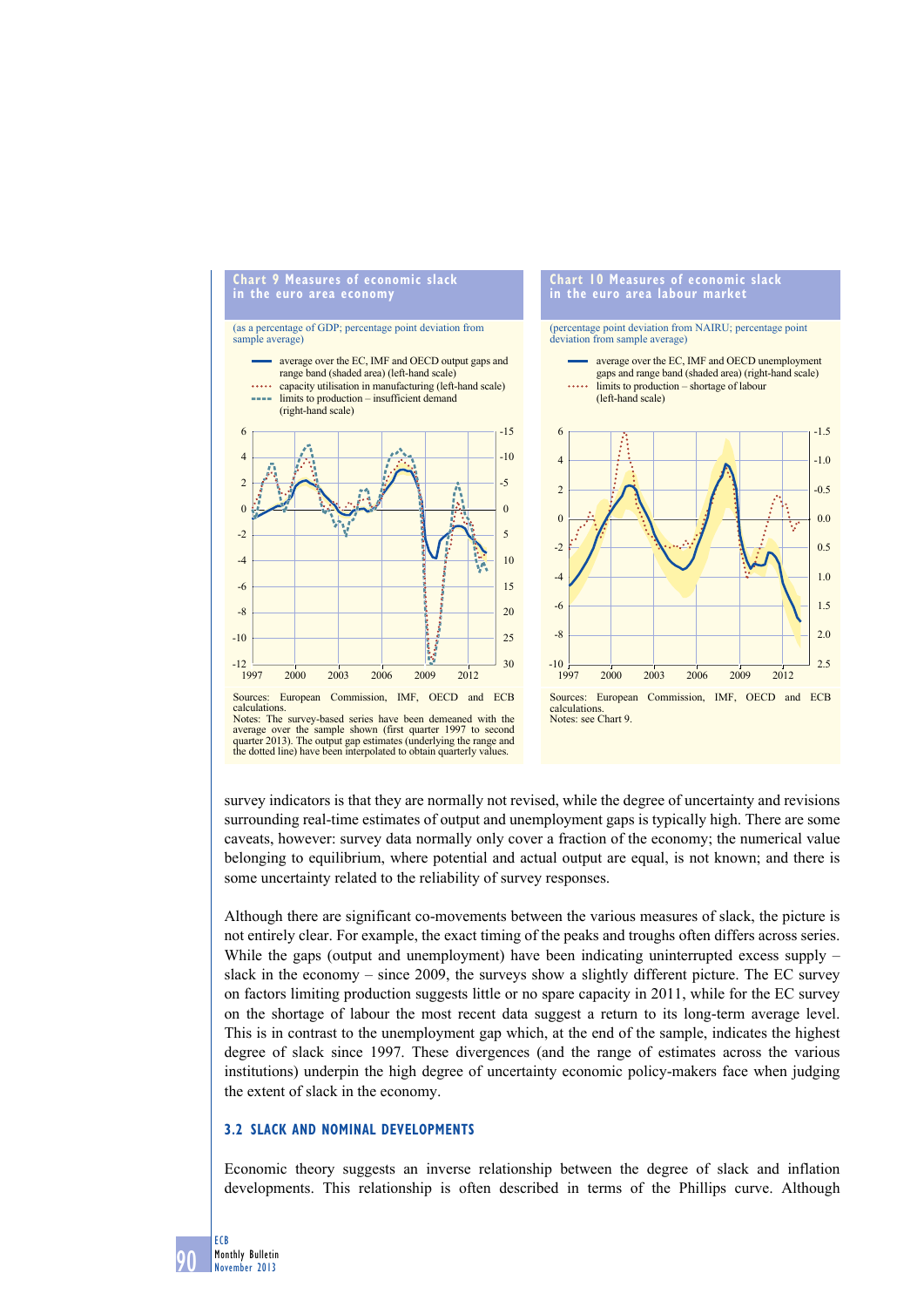

survey indicators is that they are normally not revised, while the degree of uncertainty and revisions surrounding real-time estimates of output and unemployment gaps is typically high. There are some caveats, however: survey data normally only cover a fraction of the economy; the numerical value belonging to equilibrium, where potential and actual output are equal, is not known; and there is some uncertainty related to the reliability of survey responses.

Although there are significant co-movements between the various measures of slack, the picture is not entirely clear. For example, the exact timing of the peaks and troughs often differs across series. While the gaps (output and unemployment) have been indicating uninterrupted excess supply – slack in the economy – since 2009, the surveys show a slightly different picture. The EC survey on factors limiting production suggests little or no spare capacity in 2011, while for the EC survey on the shortage of labour the most recent data suggest a return to its long-term average level. This is in contrast to the unemployment gap which, at the end of the sample, indicates the highest degree of slack since 1997. These divergences (and the range of estimates across the various institutions) underpin the high degree of uncertainty economic policy-makers face when judging the extent of slack in the economy.

# **3.2 slaCK and nominal develoPments**

Economic theory suggests an inverse relationship between the degree of slack and inflation developments. This relationship is often described in terms of the Phillips curve. Although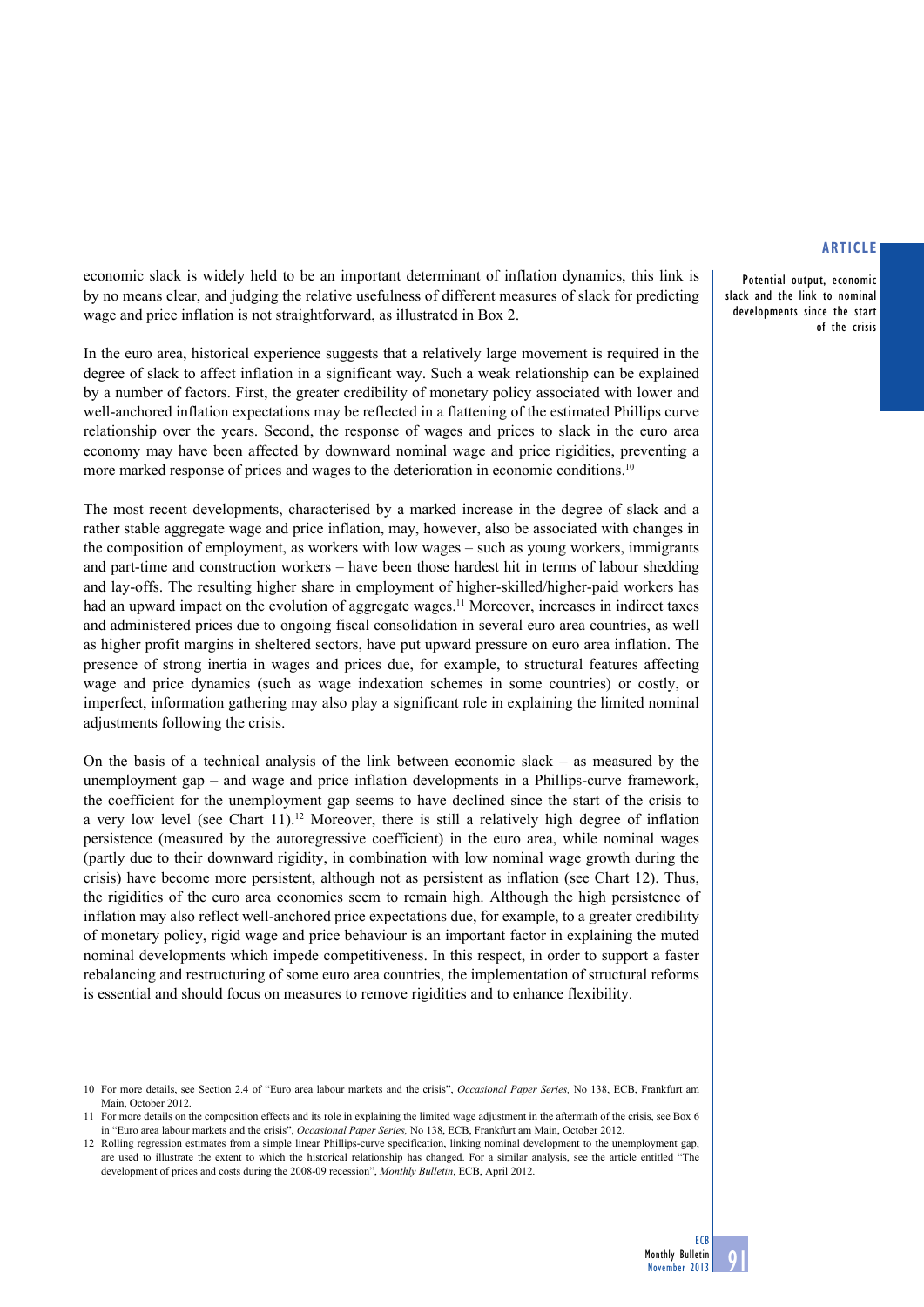Potential output, economic slack and the link to nominal developments since the start of the crisis

economic slack is widely held to be an important determinant of inflation dynamics, this link is by no means clear, and judging the relative usefulness of different measures of slack for predicting wage and price inflation is not straightforward, as illustrated in Box 2.

In the euro area, historical experience suggests that a relatively large movement is required in the degree of slack to affect inflation in a significant way. Such a weak relationship can be explained by a number of factors. First, the greater credibility of monetary policy associated with lower and well-anchored inflation expectations may be reflected in a flattening of the estimated Phillips curve relationship over the years. Second, the response of wages and prices to slack in the euro area economy may have been affected by downward nominal wage and price rigidities, preventing a more marked response of prices and wages to the deterioration in economic conditions.<sup>10</sup>

The most recent developments, characterised by a marked increase in the degree of slack and a rather stable aggregate wage and price inflation, may, however, also be associated with changes in the composition of employment, as workers with low wages – such as young workers, immigrants and part-time and construction workers – have been those hardest hit in terms of labour shedding and lay-offs. The resulting higher share in employment of higher-skilled/higher-paid workers has had an upward impact on the evolution of aggregate wages.<sup>11</sup> Moreover, increases in indirect taxes and administered prices due to ongoing fiscal consolidation in several euro area countries, as well as higher profit margins in sheltered sectors, have put upward pressure on euro area inflation. The presence of strong inertia in wages and prices due, for example, to structural features affecting wage and price dynamics (such as wage indexation schemes in some countries) or costly, or imperfect, information gathering may also play a significant role in explaining the limited nominal adjustments following the crisis.

On the basis of a technical analysis of the link between economic slack – as measured by the unemployment gap – and wage and price inflation developments in a Phillips-curve framework, the coefficient for the unemployment gap seems to have declined since the start of the crisis to a very low level (see Chart 11).<sup>12</sup> Moreover, there is still a relatively high degree of inflation persistence (measured by the autoregressive coefficient) in the euro area, while nominal wages (partly due to their downward rigidity, in combination with low nominal wage growth during the crisis) have become more persistent, although not as persistent as inflation (see Chart 12). Thus, the rigidities of the euro area economies seem to remain high. Although the high persistence of inflation may also reflect well-anchored price expectations due, for example, to a greater credibility of monetary policy, rigid wage and price behaviour is an important factor in explaining the muted nominal developments which impede competitiveness. In this respect, in order to support a faster rebalancing and restructuring of some euro area countries, the implementation of structural reforms is essential and should focus on measures to remove rigidities and to enhance flexibility.

<sup>10</sup> For more details, see Section 2.4 of "Euro area labour markets and the crisis", *Occasional Paper Series,* No 138, ECB, Frankfurt am Main, October 2012.

<sup>11</sup> For more details on the composition effects and its role in explaining the limited wage adjustment in the aftermath of the crisis, see Box 6 in "Euro area labour markets and the crisis", *Occasional Paper Series,* No 138, ECB, Frankfurt am Main, October 2012.

<sup>12</sup> Rolling regression estimates from a simple linear Phillips-curve specification, linking nominal development to the unemployment gap, are used to illustrate the extent to which the historical relationship has changed. For a similar analysis, see the article entitled "The development of prices and costs during the 2008-09 recession", *Monthly Bulletin*, ECB, April 2012.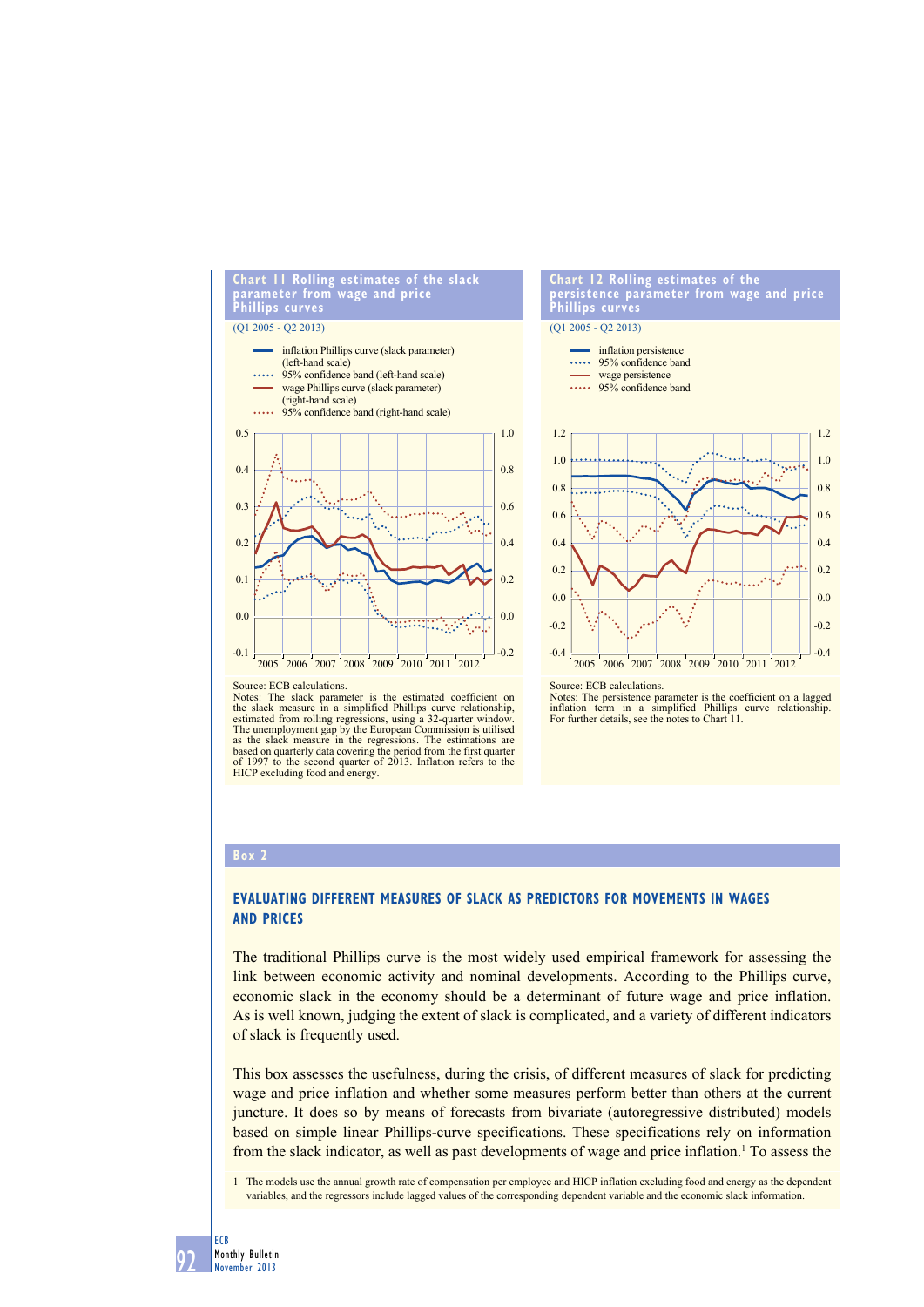

#### **Chart 12 rolling estimates of the persistence parameter from wage and price Phillips curves**



#### Source: ECB calculations.

Notes: The slack parameter is the estimated coefficient on the slack measure in a simplified Phillips curve relationship, estimated from rolling regressions, using a 32-quarter window. The unemployment gap by the European Commission is utilised as the slack measure in the regressions. The estimations are based on quarterly data covering the period from the first quarter of 1997 to the second quarter of 2013. Inflation refers to the HICP excluding food and energy. Source: ECB calculations.

Notes: The persistence parameter is the coefficient on a lagged inflation term in a simplified Phillips curve relationship.<br>For further details, see the notes to Chart 11.

#### **box 2**

# **evaluating diFFerent measures oF slaCK as PrediCtors For movements in wages and PriCes**

The traditional Phillips curve is the most widely used empirical framework for assessing the link between economic activity and nominal developments. According to the Phillips curve, economic slack in the economy should be a determinant of future wage and price inflation. As is well known, judging the extent of slack is complicated, and a variety of different indicators of slack is frequently used.

This box assesses the usefulness, during the crisis, of different measures of slack for predicting wage and price inflation and whether some measures perform better than others at the current juncture. It does so by means of forecasts from bivariate (autoregressive distributed) models based on simple linear Phillips-curve specifications. These specifications rely on information from the slack indicator, as well as past developments of wage and price inflation.<sup>1</sup> To assess the

1 The models use the annual growth rate of compensation per employee and HICP inflation excluding food and energy as the dependent variables, and the regressors include lagged values of the corresponding dependent variable and the economic slack information.

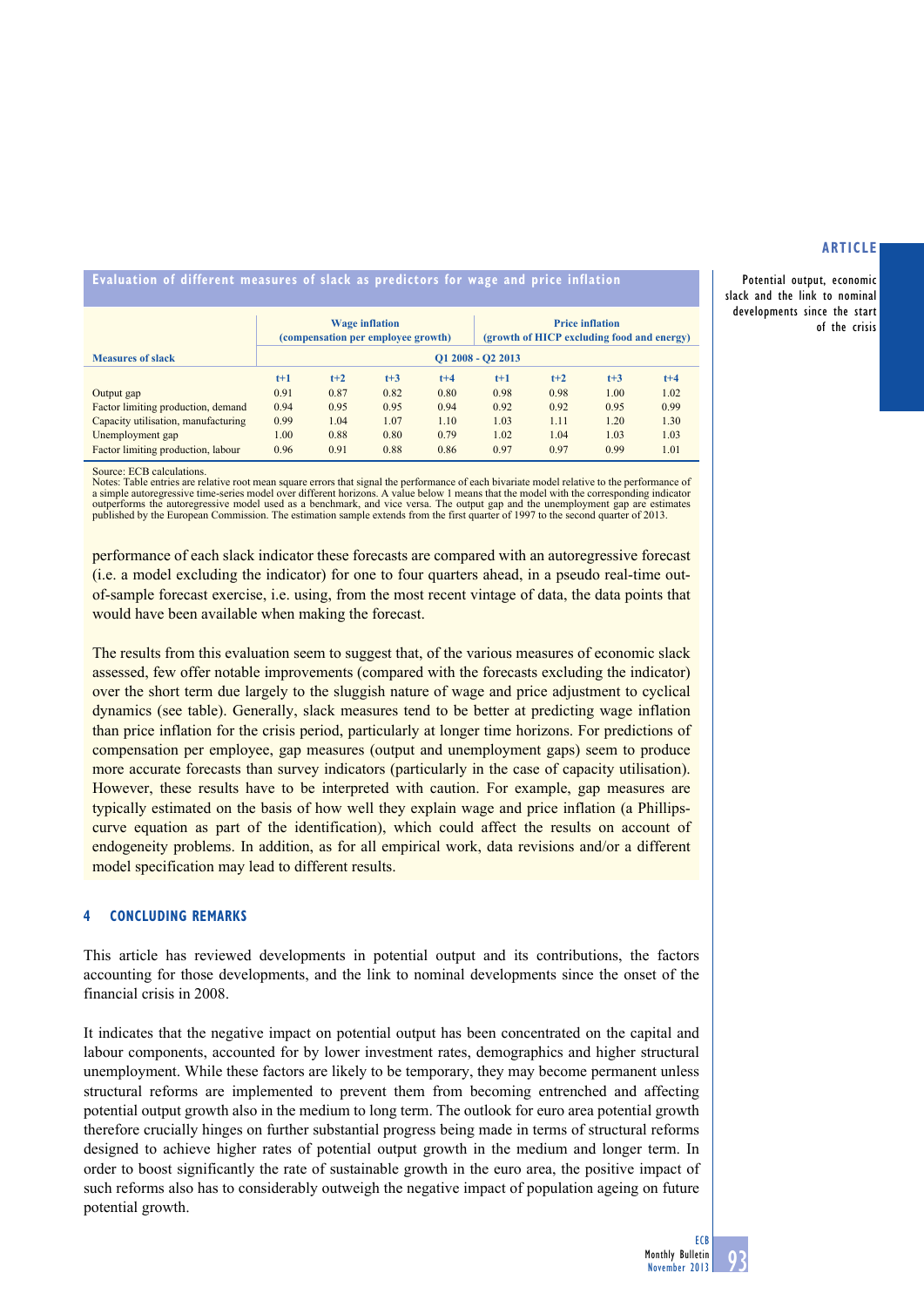Potential output, economic slack and the link to nominal developments since the start of the crisis

# **evaluation of different measures of slack as predictors for wage and price inflation**

|                                     | <b>Wage inflation</b><br>(compensation per employee growth) |       |       |         | <b>Price inflation</b><br>(growth of HICP excluding food and energy) |       |       |         |
|-------------------------------------|-------------------------------------------------------------|-------|-------|---------|----------------------------------------------------------------------|-------|-------|---------|
| <b>Measures of slack</b>            | $Q1 2008 - Q2 2013$                                         |       |       |         |                                                                      |       |       |         |
|                                     | $t+1$                                                       | $t+2$ | $t+3$ | $t + 4$ | $t+1$                                                                | $t+2$ | $t+3$ | $t + 4$ |
| Output gap                          | 0.91                                                        | 0.87  | 0.82  | 0.80    | 0.98                                                                 | 0.98  | 1.00  | 1.02    |
| Factor limiting production, demand  | 0.94                                                        | 0.95  | 0.95  | 0.94    | 0.92                                                                 | 0.92  | 0.95  | 0.99    |
| Capacity utilisation, manufacturing | 0.99                                                        | 1.04  | 1.07  | 1.10    | 1.03                                                                 | 1.11  | 1.20  | 1.30    |
| Unemployment gap                    | 1.00                                                        | 0.88  | 0.80  | 0.79    | 1.02                                                                 | 1.04  | 1.03  | 1.03    |
| Factor limiting production, labour  | 0.96                                                        | 0.91  | 0.88  | 0.86    | 0.97                                                                 | 0.97  | 0.99  | 1.01    |

Source: ECB calculations.

Notes: Table entries are relative root mean square errors that signal the performance of each bivariate model relative to the performance of a simple autoregressive time-series model over different horizons. A value below 1 means that the model with the corresponding indicator outperforms the autoregressive model used as a benchmark, and vice versa. The output autoregressive model used as a benchmark, and vice versa. The output gap and the unemployment gap are published by the European Commission. The estimation sample extends from the first quarter of 1997 to the second quarter of 2013.

performance of each slack indicator these forecasts are compared with an autoregressive forecast (i.e. a model excluding the indicator) for one to four quarters ahead, in a pseudo real-time outof-sample forecast exercise, i.e. using, from the most recent vintage of data, the data points that would have been available when making the forecast.

The results from this evaluation seem to suggest that, of the various measures of economic slack assessed, few offer notable improvements (compared with the forecasts excluding the indicator) over the short term due largely to the sluggish nature of wage and price adjustment to cyclical dynamics (see table). Generally, slack measures tend to be better at predicting wage inflation than price inflation for the crisis period, particularly at longer time horizons. For predictions of compensation per employee, gap measures (output and unemployment gaps) seem to produce more accurate forecasts than survey indicators (particularly in the case of capacity utilisation). However, these results have to be interpreted with caution. For example, gap measures are typically estimated on the basis of how well they explain wage and price inflation (a Phillipscurve equation as part of the identification), which could affect the results on account of endogeneity problems. In addition, as for all empirical work, data revisions and/or a different model specification may lead to different results.

# **4 Concluding remarks**

This article has reviewed developments in potential output and its contributions, the factors accounting for those developments, and the link to nominal developments since the onset of the financial crisis in 2008.

It indicates that the negative impact on potential output has been concentrated on the capital and labour components, accounted for by lower investment rates, demographics and higher structural unemployment. While these factors are likely to be temporary, they may become permanent unless structural reforms are implemented to prevent them from becoming entrenched and affecting potential output growth also in the medium to long term. The outlook for euro area potential growth therefore crucially hinges on further substantial progress being made in terms of structural reforms designed to achieve higher rates of potential output growth in the medium and longer term. In order to boost significantly the rate of sustainable growth in the euro area, the positive impact of such reforms also has to considerably outweigh the negative impact of population ageing on future potential growth.